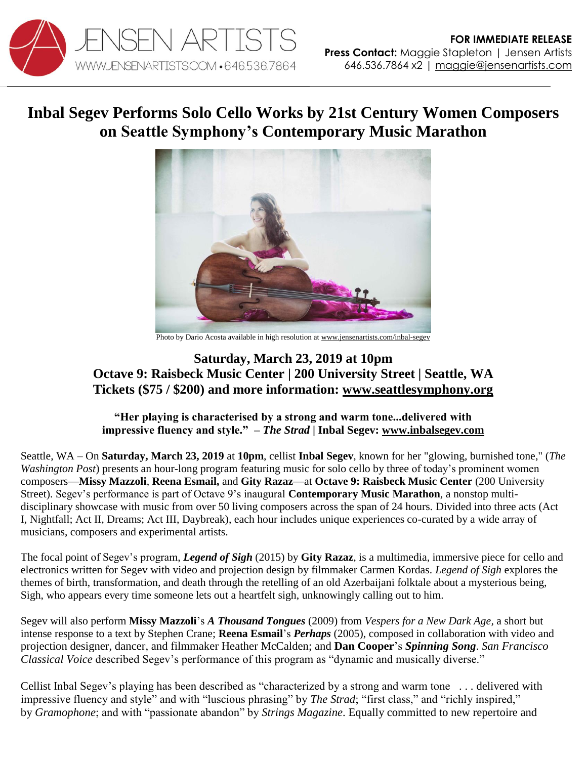

## **Inbal Segev Performs Solo Cello Works by 21st Century Women Composers on Seattle Symphony's Contemporary Music Marathon**



Photo by Dario Acosta available in high resolution a[t www.jensenartists.com/inbal-segev](http://www.jensenartists.com/inbal-segev)

## **Saturday, March 23, 2019 at 10pm Octave 9: Raisbeck Music Center | 200 University Street | Seattle, WA Tickets (\$75 / \$200) and more information: [www.seattlesymphony.org](https://www.seattlesymphony.org/concerttickets/calendar/2018-2019/symphony/octave9/music-marathon#act1)**

**"Her playing is characterised by a strong and warm tone...delivered with impressive fluency and style."** *– The Strad* **| Inbal Segev: [www.inbalsegev.com](http://www.inbalsegev.com/)**

Seattle, WA – On **Saturday, March 23, 2019** at **10pm**, cellist **Inbal Segev**, known for her "glowing, burnished tone," (*The Washington Post*) presents an hour-long program featuring music for solo cello by three of today's prominent women composers—**Missy Mazzoli**, **Reena Esmail,** and **Gity Razaz**—at **Octave 9: Raisbeck Music Center** (200 University Street). Segev's performance is part of Octave 9's inaugural **Contemporary Music Marathon**, a nonstop multidisciplinary showcase with music from over 50 living composers across the span of 24 hours. Divided into three acts (Act I, Nightfall; Act II, Dreams; Act III, Daybreak), each hour includes unique experiences co-curated by a wide array of musicians, composers and experimental artists.

The focal point of Segev's program, *Legend of Sigh* (2015) by **Gity Razaz**, is a multimedia, immersive piece for cello and electronics written for Segev with video and projection design by filmmaker Carmen Kordas*. Legend of Sigh* explores the themes of birth, transformation, and death through the retelling of an old Azerbaijani folktale about a mysterious being, Sigh, who appears every time someone lets out a heartfelt sigh, unknowingly calling out to him.

Segev will also perform **Missy Mazzoli**'s *A Thousand Tongues* (2009) from *Vespers for a New Dark Age,* a short but intense response to a text by Stephen Crane; **Reena Esmail**'s *Perhaps* (2005), composed in collaboration with video and projection designer, dancer, and filmmaker Heather McCalden; and **Dan Cooper**'s *Spinning Song*. *San Francisco Classical Voice* described Segev's performance of this program as "dynamic and musically diverse."

Cellist Inbal Segev's playing has been described as "characterized by a strong and warm tone . . . delivered with impressive fluency and style" and with "luscious phrasing" by *The Strad*; "first class," and "richly inspired," by *Gramophone*; and with "passionate abandon" by *Strings Magazine*. Equally committed to new repertoire and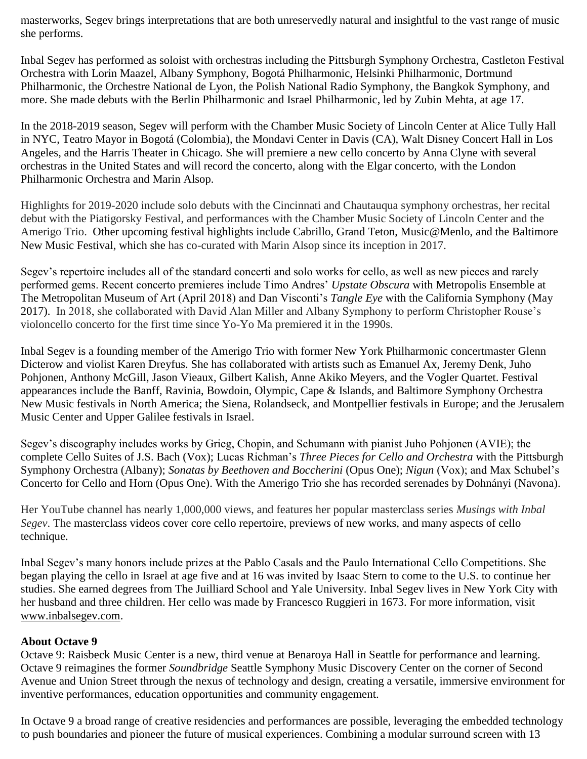masterworks, Segev brings interpretations that are both unreservedly natural and insightful to the vast range of music she performs.

Inbal Segev has performed as soloist with orchestras including the Pittsburgh Symphony Orchestra, Castleton Festival Orchestra with Lorin Maazel, Albany Symphony, Bogotá Philharmonic, Helsinki Philharmonic, Dortmund Philharmonic, the Orchestre National de Lyon, the Polish National Radio Symphony, the Bangkok Symphony, and more. She made debuts with the Berlin Philharmonic and Israel Philharmonic, led by Zubin Mehta, at age 17.

In the 2018-2019 season, Segev will perform with the Chamber Music Society of Lincoln Center at Alice Tully Hall in NYC, Teatro Mayor in Bogotá (Colombia), the Mondavi Center in Davis (CA), Walt Disney Concert Hall in Los Angeles, and the Harris Theater in Chicago. She will premiere a new cello concerto by Anna Clyne with several orchestras in the United States and will record the concerto, along with the Elgar concerto, with the London Philharmonic Orchestra and Marin Alsop.

Highlights for 2019-2020 include solo debuts with the Cincinnati and Chautauqua symphony orchestras, her recital debut with the Piatigorsky Festival, and performances with the Chamber Music Society of Lincoln Center and the Amerigo Trio. Other upcoming festival highlights include Cabrillo, Grand Teton, Music@Menlo, and the Baltimore New Music Festival, which she has co-curated with Marin Alsop since its inception in 2017.

Segev's repertoire includes all of the standard concerti and solo works for cello, as well as new pieces and rarely performed gems. Recent concerto premieres include Timo Andres' *Upstate Obscura* with Metropolis Ensemble at The Metropolitan Museum of Art (April 2018) and Dan Visconti's *Tangle Eye* with the California Symphony (May 2017). In 2018, she collaborated with David Alan Miller and Albany Symphony to perform Christopher Rouse's violoncello concerto for the first time since Yo-Yo Ma premiered it in the 1990s.

Inbal Segev is a founding member of the Amerigo Trio with former New York Philharmonic concertmaster Glenn Dicterow and violist Karen Dreyfus. She has collaborated with artists such as Emanuel Ax, Jeremy Denk, Juho Pohjonen, Anthony McGill, Jason Vieaux, Gilbert Kalish, Anne Akiko Meyers, and the Vogler Quartet. Festival appearances include the Banff, Ravinia, Bowdoin, Olympic, Cape & Islands, and Baltimore Symphony Orchestra New Music festivals in North America; the Siena, Rolandseck, and Montpellier festivals in Europe; and the Jerusalem Music Center and Upper Galilee festivals in Israel.

Segev's discography includes works by Grieg, Chopin, and Schumann with pianist Juho Pohjonen (AVIE); the complete Cello Suites of J.S. Bach (Vox); Lucas Richman's *Three Pieces for Cello and Orchestra* with the Pittsburgh Symphony Orchestra (Albany); *Sonatas by Beethoven and Boccherini* (Opus One); *Nigun* (Vox); and Max Schubel's Concerto for Cello and Horn (Opus One). With the Amerigo Trio she has recorded serenades by Dohnányi (Navona).

Her YouTube channel has nearly 1,000,000 views, and features her popular masterclass series *Musings with Inbal Segev*. The masterclass videos cover core cello repertoire, previews of new works, and many aspects of cello technique.

Inbal Segev's many honors include prizes at the Pablo Casals and the Paulo International Cello Competitions. She began playing the cello in Israel at age five and at 16 was invited by Isaac Stern to come to the U.S. to continue her studies. She earned degrees from The Juilliard School and Yale University. Inbal Segev lives in New York City with her husband and three children. Her cello was made by Francesco Ruggieri in 1673. For more information, visi[t](http://www.inbalsegev.com/) [www.inbalsegev.com.](http://www.inbalsegev.com/)

## **About Octave 9**

Octave 9: Raisbeck Music Center is a new, third venue at Benaroya Hall in Seattle for performance and learning. Octave 9 reimagines the former *Soundbridge* Seattle Symphony Music Discovery Center on the corner of Second Avenue and Union Street through the nexus of technology and design, creating a versatile, immersive environment for inventive performances, education opportunities and community engagement.

In Octave 9 a broad range of creative residencies and performances are possible, leveraging the embedded technology to push boundaries and pioneer the future of musical experiences. Combining a modular surround screen with 13